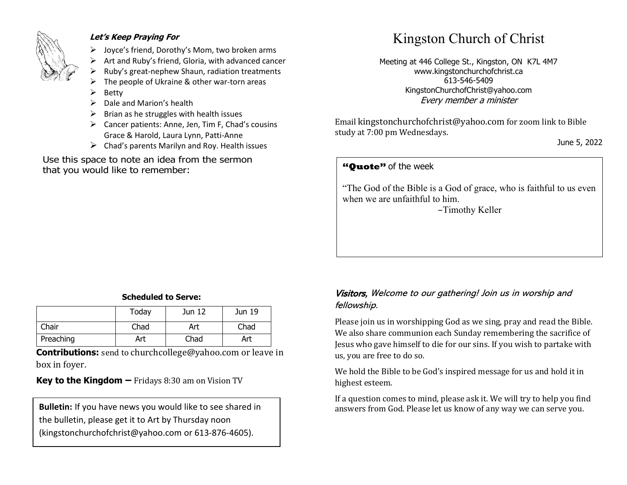

#### **Let's Keep Praying For**

- ➢ Joyce's friend, Dorothy's Mom, two broken arms
- ➢ Art and Ruby's friend, Gloria, with advanced cancer
- ➢ Ruby's great-nephew Shaun, radiation treatments
- The people of Ukraine & other war-torn areas
- ➢ Betty
- $\triangleright$  Dale and Marion's health
- $\triangleright$  Brian as he struggles with health issues
- ➢ Cancer patients: Anne, Jen, Tim F, Chad's cousins Grace & Harold, Laura Lynn, Patti-Anne
- $\triangleright$  Chad's parents Marilyn and Roy. Health issues

Use this space to note an idea from the sermon that you would like to remember:

# Kingston Church of Christ

Meeting at 446 College St., Kingston, ON K7L 4M7 www.kingstonchurchofchrist.ca 613-546-5409 KingstonChurchofChrist@yahoo.com Every member a minister

Email [kingstonchurchofchrist@yahoo.com](mailto:kingstonchurchofchrist@yahoo.com) for zoom link to Bible study at 7:00 pm Wednesdays.

June 5, 2022

### **"Quote"** of the week **"Quote"** of the week

 $\mathbb{F}^{1}$  and  $\mathbb{F}^{1}$  and  $\mathbb{F}^{1}$  is and pays pleasure, and pays pleasure, and pays pleasure, and pays pleasure, and pays pleasure, and pays pleasure, and pays pleasure, and pays pleasure, and pays pleasure. And "The God of the Bible is a God of grace, who is faithful to us even when we are unfaithful to him.

-Timothy Keller

#### **Scheduled to Serve:**

|           | Today | Jun 12 | Jun 19 |
|-----------|-------|--------|--------|
| Chair     | Chad  | Art    | Chad   |
| Preaching | Art   | Chad   | Art    |

**Contributions:** send to [churchcollege@yahoo.com](mailto:churchcollege@yahoo.com) or leave in box in foyer.

**Key to the Kingdom –** Fridays 8:30 am on Vision TV

the bulletin, please get it to Art by Thursday noon (kingstonchurchofchrist@yahoo.com or 613-876-4605).

#### Visitors, Welcome to our gathering! Join us in worship and fellowship.

Please join us in worshipping God as we sing, pray and read the Bible. We also share communion each Sunday remembering the sacrifice of Jesus who gave himself to die for our sins. If you wish to partake with us, you are free to do so.

We hold the Bible to be God's inspired message for us and hold it in highest esteem.

If a question comes to mind, please ask it. We will try to help you find **Bulletin:** If you have news you would like to see shared in answers from God. Please let us know of any way we can serve you.